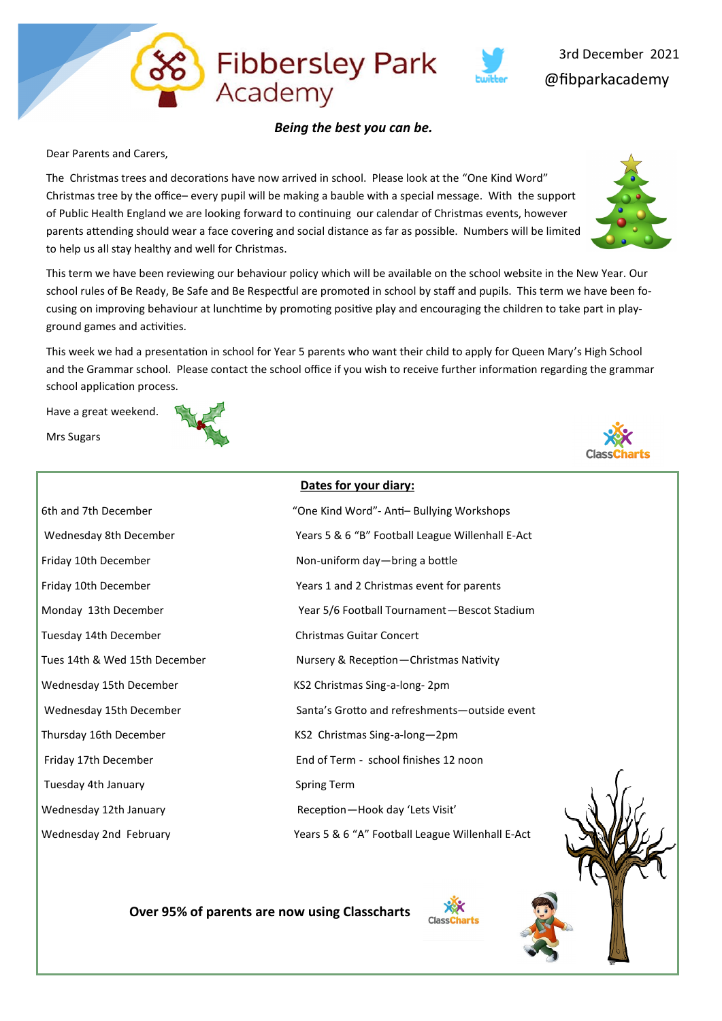

**Fibbersley Park** 

Academy

Dear Parents and Carers,

The Christmas trees and decorations have now arrived in school. Please look at the "One Kind Word" Christmas tree by the office– every pupil will be making a bauble with a special message. With the support of Public Health England we are looking forward to continuing our calendar of Christmas events, however parents attending should wear a face covering and social distance as far as possible. Numbers will be limited to help us all stay healthy and well for Christmas.

This term we have been reviewing our behaviour policy which will be available on the school website in the New Year. Our school rules of Be Ready, Be Safe and Be Respectful are promoted in school by staff and pupils. This term we have been focusing on improving behaviour at lunchtime by promoting positive play and encouraging the children to take part in playground games and activities.

This week we had a presentation in school for Year 5 parents who want their child to apply for Queen Mary's High School and the Grammar school. Please contact the school office if you wish to receive further information regarding the grammar school application process.

Have a great weekend.

Mrs Sugars



 **Over 95% of parents are now using Classcharts** 



@fibparkacademy 3rd December 2021

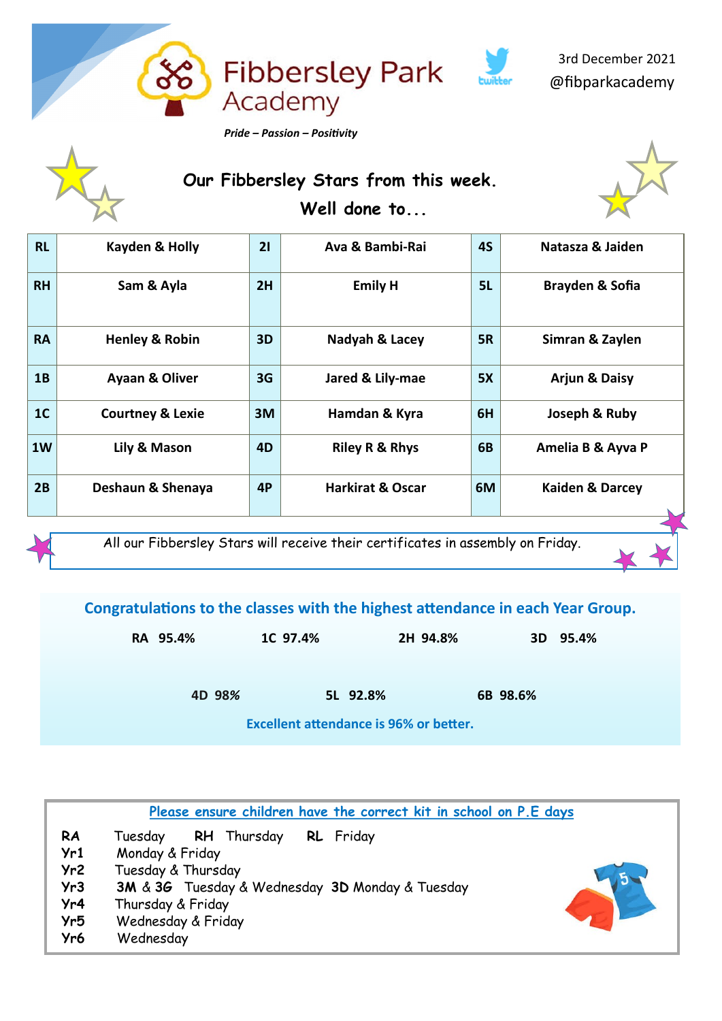

 3rd December 2021 @fibparkacademy

 **Our Fibbersley Stars from this week. Well done to...**



| <b>RH</b><br>2H<br><b>Emily H</b><br>Sam & Ayla<br>5L<br>Brayden & Sofia<br><b>RA</b><br>3D<br><b>Henley &amp; Robin</b><br>Nadyah & Lacey<br><b>5R</b><br>Simran & Zaylen<br>1B<br>3G<br>Ayaan & Oliver<br>Jared & Lily-mae<br>5X<br><b>Arjun &amp; Daisy</b> |  |
|----------------------------------------------------------------------------------------------------------------------------------------------------------------------------------------------------------------------------------------------------------------|--|
|                                                                                                                                                                                                                                                                |  |
|                                                                                                                                                                                                                                                                |  |
|                                                                                                                                                                                                                                                                |  |
| 1 <sub>C</sub><br>6H<br>3M<br>Joseph & Ruby<br><b>Courtney &amp; Lexie</b><br>Hamdan & Kyra                                                                                                                                                                    |  |
| 1W<br>6B<br>Lily & Mason<br>4D<br><b>Riley R &amp; Rhys</b><br>Amelia B & Ayva P                                                                                                                                                                               |  |
| 2B<br><b>Harkirat &amp; Oscar</b><br>4P<br>6M<br>Deshaun & Shenaya<br><b>Kaiden &amp; Darcey</b>                                                                                                                                                               |  |

All our Fibbersley Stars will receive their certificates in assembly on Friday.

**Congratulations to the classes with the highest attendance in each Year Group.**

| RA 95.4% |        | 1C 97.4% |          | 2H 94.8% |          | 3D 95.4% |
|----------|--------|----------|----------|----------|----------|----------|
|          | 4D 98% |          | 5L 92.8% |          | 6B 98.6% |          |

**Excellent attendance is 96% or better.**

|     | Please ensure children have the correct kit in school on P.E days |  |
|-----|-------------------------------------------------------------------|--|
| RA  | <b>RL</b> Friday<br>RH Thursday<br>Tuesday                        |  |
| Yr1 | Monday & Friday                                                   |  |
| Yr2 | Tuesday & Thursday                                                |  |
| Yr3 | 3M & 3G Tuesday & Wednesday 3D Monday & Tuesday                   |  |
| Yr4 | Thursday & Friday                                                 |  |
| Yr5 | Wednesday & Friday                                                |  |
| Yr6 | Wednesday                                                         |  |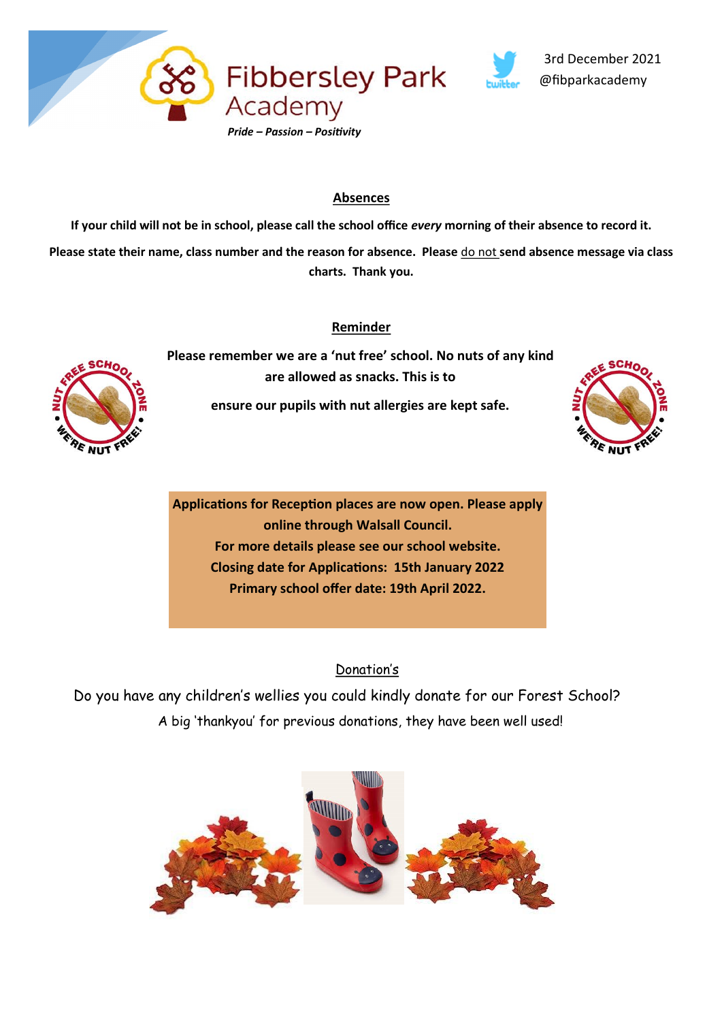



## **Absences**

**If your child will not be in school, please call the school office** *every* **morning of their absence to record it. Please state their name, class number and the reason for absence. Please** do not **send absence message via class charts. Thank you.**

### **Reminder**



**Please remember we are a 'nut free' school. No nuts of any kind are allowed as snacks. This is to** 

**ensure our pupils with nut allergies are kept safe.** 



**Applications for Reception places are now open. Please apply online through Walsall Council. For more details please see our school website. Closing date for Applications: 15th January 2022 Primary school offer date: 19th April 2022.**

## Donation's

 Do you have any children's wellies you could kindly donate for our Forest School? A big 'thankyou' for previous donations, they have been well used!

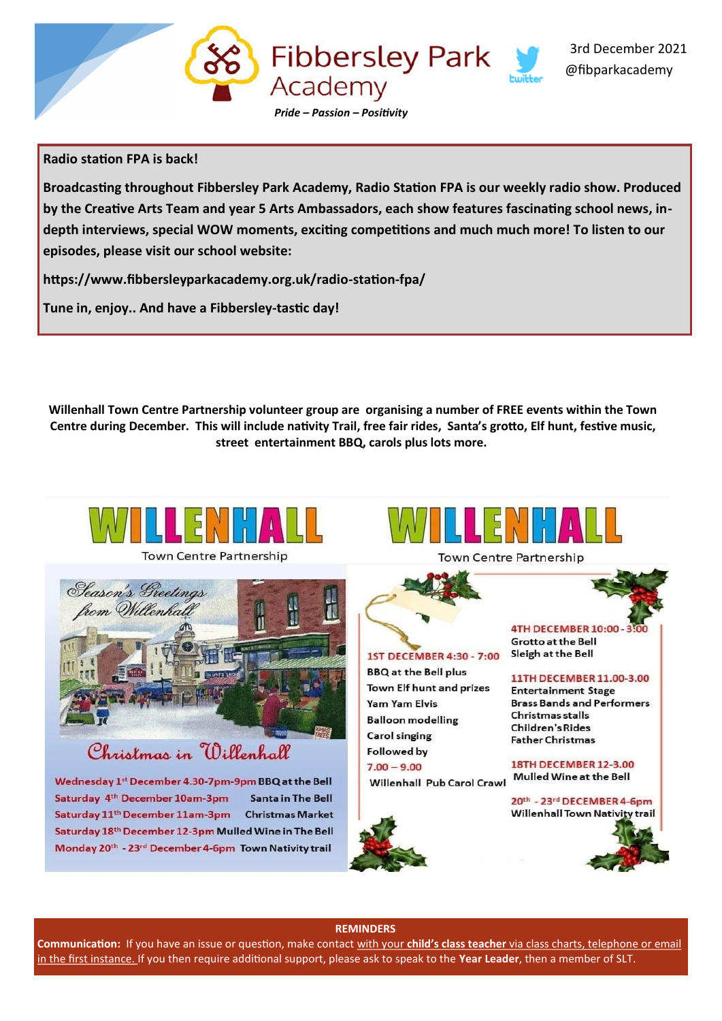

#### **Radio station FPA is back!**

**Broadcasting throughout Fibbersley Park Academy, Radio Station FPA is our weekly radio show. Produced by the Creative Arts Team and year 5 Arts Ambassadors, each show features fascinating school news, indepth interviews, special WOW moments, exciting competitions and much much more! To listen to our episodes, please visit our school website:**

**https://www.fibbersleyparkacademy.org.uk/radio-station-fpa/**

**Tune in, enjoy.. And have a Fibbersley-tastic day!**

**Willenhall Town Centre Partnership volunteer group are organising a number of FREE events within the Town Centre during December. This will include nativity Trail, free fair rides, Santa's grotto, Elf hunt, festive music, street entertainment BBQ, carols plus lots more.**



**Town Centre Partnership** 



# Christmas in Willenhall

Wednesday 1st December 4.30-7pm-9pm BBQ at the Bell Saturday 4<sup>th</sup> December 10am-3pm **Santa in The Bell** Saturday 11<sup>th</sup> December 11am-3pm Christmas Market Saturday 18<sup>th</sup> December 12-3pm Mulled Wine in The Bell Monday 20th - 23rd December 4-6pm Town Nativity trail



**Town Centre Partnership** 



#### **REMINDERS**

**Communication:** If you have an issue or question, make contact with your **child's class teacher** via class charts, telephone or email in the first instance. If you then require additional support, please ask to speak to the **Year Leader**, then a member of SLT.